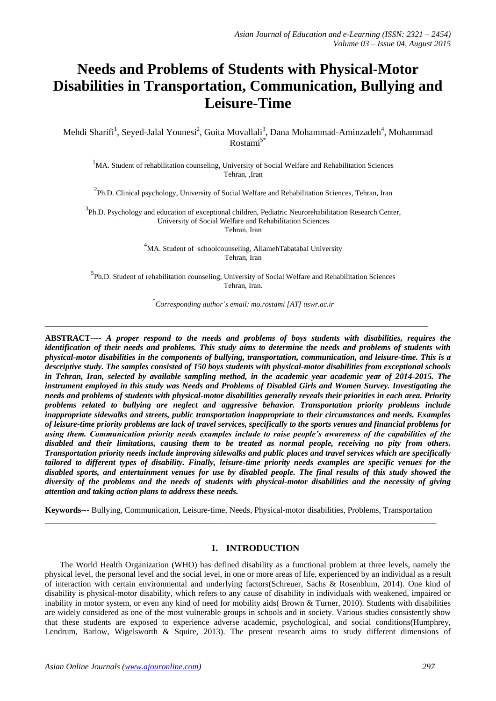# **Needs and Problems of Students with Physical-Motor Disabilities in Transportation, Communication, Bullying and Leisure-Time**

Mehdi Sharifi<sup>1</sup>, Seyed-Jalal Younesi<sup>2</sup>, Guita Movallali<sup>3</sup>, Dana Mohammad-Aminzadeh<sup>4</sup>, Mohammad Rostami5\*

 $1$ MA. Student of rehabilitation counseling, University of Social Welfare and Rehabilitation Sciences Tehran, ,Iran

<sup>2</sup>Ph.D. Clinical psychology, University of Social Welfare and Rehabilitation Sciences, Tehran, Iran

<sup>3</sup>Ph.D. Psychology and education of exceptional children, Pediatric Neurorehabilitation Research Center, University of Social Welfare and Rehabilitation Sciences Tehran, Iran

> <sup>4</sup>MA. Student of schoolcounseling, AllamehTabatabai University Tehran, Iran

<sup>5</sup>Ph.D. Student of rehabilitation counseling, University of Social Welfare and Rehabilitation Sciences Tehran, Iran.

\* *Corresponding author's email: mo.rostami [AT] uswr.ac.ir*

\_\_\_\_\_\_\_\_\_\_\_\_\_\_\_\_\_\_\_\_\_\_\_\_\_\_\_\_\_\_\_\_\_\_\_\_\_\_\_\_\_\_\_\_\_\_\_\_\_\_\_\_\_\_\_\_\_\_\_\_\_\_\_\_\_\_\_\_\_\_\_\_\_\_\_\_\_\_\_\_\_\_\_\_\_\_\_\_\_\_\_\_

**ABSTRACT----** *A proper respond to the needs and problems of boys students with disabilities, requires the identification of their needs and problems. This study aims to determine the needs and problems of students with physical-motor disabilities in the components of bullying, transportation, communication, and leisure-time. This is a descriptive study. The samples consisted of 150 boys students with physical-motor disabilities from exceptional schools in Tehran, Iran, selected by available sampling method, in the academic year academic year of 2014-2015. The instrument employed in this study was Needs and Problems of Disabled Girls and Women Survey. Investigating the needs and problems of students with physical-motor disabilities generally reveals their priorities in each area. Priority problems related to bullying are neglect and aggressive behavior. Transportation priority problems include inappropriate sidewalks and streets, public transportation inappropriate to their circumstances and needs. Examples of leisure-time priority problems are lack of travel services, specifically to the sports venues and financial problems for using them. Communication priority needs examples include to raise people's awareness of the capabilities of the disabled and their limitations, causing them to be treated as normal people, receiving no pity from others. Transportation priority needs include improving sidewalks and public places and travel services which are specifically tailored to different types of disability. Finally, leisure-time priority needs examples are specific venues for the disabled sports, and entertainment venues for use by disabled people. The final results of this study showed the diversity of the problems and the needs of students with physical-motor disabilities and the necessity of giving attention and taking action plans to address these needs.* 

**Keywords---** Bullying, Communication, Leisure-time, Needs, Physical-motor disabilities, Problems, Transportation \_\_\_\_\_\_\_\_\_\_\_\_\_\_\_\_\_\_\_\_\_\_\_\_\_\_\_\_\_\_\_\_\_\_\_\_\_\_\_\_\_\_\_\_\_\_\_\_\_\_\_\_\_\_\_\_\_\_\_\_\_\_\_\_\_\_\_\_\_\_\_\_\_\_\_\_\_\_\_\_\_\_\_\_\_\_\_\_\_\_\_\_\_\_

## **1. INTRODUCTION**

The World Health Organization (WHO) has defined disability as a functional problem at three levels, namely the physical level, the personal level and the social level, in one or more areas of life, experienced by an individual as a result of interaction with certain environmental and underlying factors(Schreuer, Sachs & Rosenblum, 2014). One kind of disability is physical-motor disability, which refers to any cause of disability in individuals with weakened, impaired or inability in motor system, or even any kind of need for mobility aids( Brown & Turner, 2010). Students with disabilities are widely considered as one of the most vulnerable groups in schools and in society. Various studies consistently show that these students are exposed to experience adverse academic, psychological, and social conditions(Humphrey, Lendrum, Barlow, Wigelsworth & Squire, 2013). The present research aims to study different dimensions of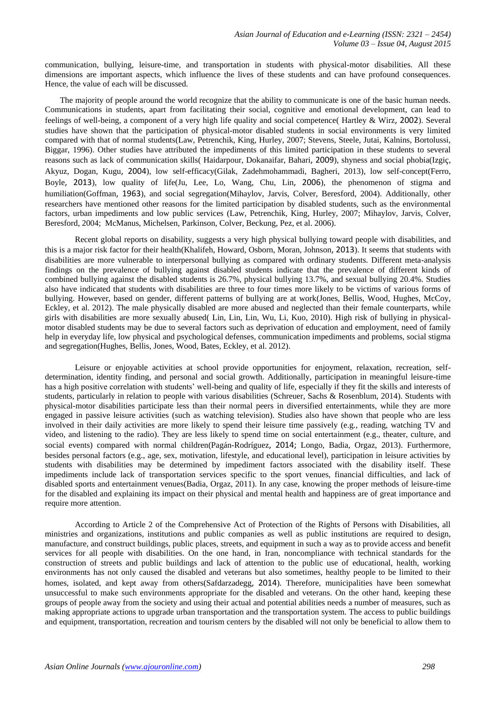communication, bullying, leisure-time, and transportation in students with physical-motor disabilities. All these dimensions are important aspects, which influence the lives of these students and can have profound consequences. Hence, the value of each will be discussed.

The majority of people around the world recognize that the ability to communicate is one of the basic human needs. Communications in students, apart from facilitating their social, cognitive and emotional development, can lead to feelings of well-being, a component of a very high life quality and social competence( Hartley & Wirz, 2002). Several studies have shown that the participation of physical-motor disabled students in social environments is very limited compared with that of normal students(Law, Petrenchik, King, Hurley, 2007; Stevens, Steele, Jutai, Kalnins, Bortolussi, Biggar, 1996). Other studies have attributed the impediments of this limited participation in these students to several reasons such as lack of communication skills( Haidarpour, Dokanaifar, Bahari, 2009), shyness and social phobia(Izgiç, Akyuz, Dogan, Kugu, 2004), low self-efficacy(Gilak, Zadehmohammadi, Bagheri, 2013), low self-concept(Ferro, Boyle, 2013), low quality of life(Ju, Lee, Lo, Wang, Chu, Lin, 2006), the phenomenon of stigma and humiliation(Goffman, 1963), and social segregation(Mihaylov, Jarvis, Colver, Beresford, 2004). Additionally, other researchers have mentioned other reasons for the limited participation by disabled students, such as the environmental factors, urban impediments and low public services (Law, Petrenchik, King, Hurley, 2007; Mihaylov, Jarvis, Colver, Beresford, 2004; McManus, Michelsen, Parkinson, Colver, Beckung, Pez, et al. 2006).

Recent global reports on disability, suggests a very high physical bullying toward people with disabilities, and this is a major risk factor for their health(Khalifeh, Howard, Osborn, Moran, Johnson, 2013). It seems that students with disabilities are more vulnerable to interpersonal bullying as compared with ordinary students. Different meta-analysis findings on the prevalence of bullying against disabled students indicate that the prevalence of different kinds of combined bullying against the disabled students is 26.7%, physical bullying 13.7%, and sexual bullying 20.4%. Studies also have indicated that students with disabilities are three to four times more likely to be victims of various forms of bullying. However, based on gender, different patterns of bullying are at work(Jones, Bellis, Wood, Hughes, McCoy, Eckley, et al. 2012). The male physically disabled are more abused and neglected than their female counterparts, while girls with disabilities are more sexually abused( Lin, Lin, Lin, Wu, Li, Kuo, 2010). High risk of bullying in physicalmotor disabled students may be due to several factors such as deprivation of education and employment, need of family help in everyday life, low physical and psychological defenses, communication impediments and problems, social stigma and segregation(Hughes, Bellis, Jones, Wood, Bates, Eckley, et al. 2012).

Leisure or enjoyable activities at school provide opportunities for enjoyment, relaxation, recreation, selfdetermination, identity finding, and personal and social growth. Additionally, participation in meaningful leisure-time has a high positive correlation with students' well-being and quality of life, especially if they fit the skills and interests of students, particularly in relation to people with various disabilities (Schreuer, Sachs & Rosenblum, 2014). Students with physical-motor disabilities participate less than their normal peers in diversified entertainments, while they are more engaged in passive leisure activities (such as watching television). Studies also have shown that people who are less involved in their daily activities are more likely to spend their leisure time passively (e.g., reading, watching TV and video, and listening to the radio). They are less likely to spend time on social entertainment (e.g., theater, culture, and social events) compared with normal children(Pagán-Rodríguez, 2014; Longo, Badia, Orgaz, 2013). Furthermore, besides personal factors (e.g., age, sex, motivation, lifestyle, and educational level), participation in leisure activities by students with disabilities may be determined by impediment factors associated with the disability itself. These impediments include lack of transportation services specific to the sport venues, financial difficulties, and lack of disabled sports and entertainment venues(Badia, Orgaz, 2011). In any case, knowing the proper methods of leisure-time for the disabled and explaining its impact on their physical and mental health and happiness are of great importance and require more attention.

According to Article 2 of the Comprehensive Act of Protection of the Rights of Persons with Disabilities, all ministries and organizations, institutions and public companies as well as public institutions are required to design, manufacture, and construct buildings, public places, streets, and equipment in such a way as to provide access and benefit services for all people with disabilities. On the one hand, in Iran, noncompliance with technical standards for the construction of streets and public buildings and lack of attention to the public use of educational, health, working environments has not only caused the disabled and veterans but also sometimes, healthy people to be limited to their homes, isolated, and kept away from others(Safdarzadegg, 2014). Therefore, municipalities have been somewhat unsuccessful to make such environments appropriate for the disabled and veterans. On the other hand, keeping these groups of people away from the society and using their actual and potential abilities needs a number of measures, such as making appropriate actions to upgrade urban transportation and the transportation system. The access to public buildings and equipment, transportation, recreation and tourism centers by the disabled will not only be beneficial to allow them to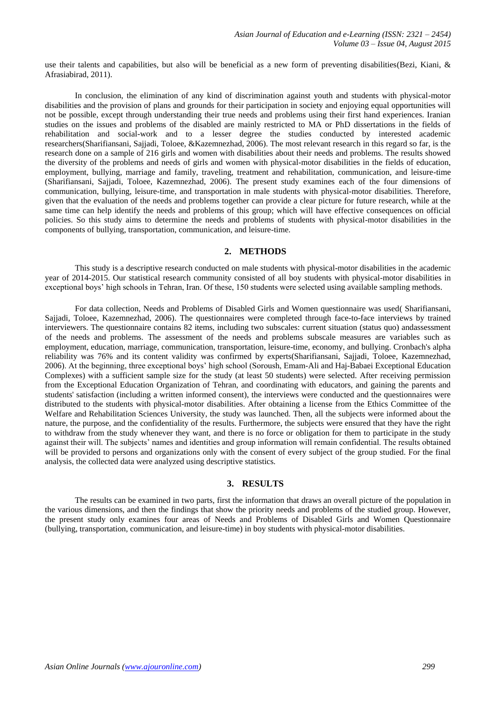use their talents and capabilities, but also will be beneficial as a new form of preventing disabilities(Bezi, Kiani, & Afrasiabirad, 2011).

In conclusion, the elimination of any kind of discrimination against youth and students with physical-motor disabilities and the provision of plans and grounds for their participation in society and enjoying equal opportunities will not be possible, except through understanding their true needs and problems using their first hand experiences. Iranian studies on the issues and problems of the disabled are mainly restricted to MA or PhD dissertations in the fields of rehabilitation and social-work and to a lesser degree the studies conducted by interested academic researchers(Sharifiansani, Sajjadi, Toloee, &Kazemnezhad, 2006). The most relevant research in this regard so far, is the research done on a sample of 216 girls and women with disabilities about their needs and problems. The results showed the diversity of the problems and needs of girls and women with physical-motor disabilities in the fields of education, employment, bullying, marriage and family, traveling, treatment and rehabilitation, communication, and leisure-time (Sharifiansani, Sajjadi, Toloee, Kazemnezhad, 2006). The present study examines each of the four dimensions of communication, bullying, leisure-time, and transportation in male students with physical-motor disabilities. Therefore, given that the evaluation of the needs and problems together can provide a clear picture for future research, while at the same time can help identify the needs and problems of this group; which will have effective consequences on official policies. So this study aims to determine the needs and problems of students with physical-motor disabilities in the components of bullying, transportation, communication, and leisure-time.

## **2. METHODS**

This study is a descriptive research conducted on male students with physical-motor disabilities in the academic year of 2014-2015. Our statistical research community consisted of all boy students with physical-motor disabilities in exceptional boys' high schools in Tehran, Iran. Of these, 150 students were selected using available sampling methods.

For data collection, Needs and Problems of Disabled Girls and Women questionnaire was used( Sharifiansani, Sajjadi, Toloee, Kazemnezhad, 2006). The questionnaires were completed through face-to-face interviews by trained interviewers. The questionnaire contains 82 items, including two subscales: current situation (status quo) andassessment of the needs and problems. The assessment of the needs and problems subscale measures are variables such as employment, education, marriage, communication, transportation, leisure-time, economy, and bullying. Cronbach's alpha reliability was 76% and its content validity was confirmed by experts(Sharifiansani, Sajjadi, Toloee, Kazemnezhad, 2006). At the beginning, three exceptional boys' high school (Soroush, Emam-Ali and Haj-Babaei Exceptional Education Complexes) with a sufficient sample size for the study (at least 50 students) were selected. After receiving permission from the Exceptional Education Organization of Tehran, and coordinating with educators, and gaining the parents and students' satisfaction (including a written informed consent), the interviews were conducted and the questionnaires were distributed to the students with physical-motor disabilities. After obtaining a license from the Ethics Committee of the Welfare and Rehabilitation Sciences University, the study was launched. Then, all the subjects were informed about the nature, the purpose, and the confidentiality of the results. Furthermore, the subjects were ensured that they have the right to withdraw from the study whenever they want, and there is no force or obligation for them to participate in the study against their will. The subjects' names and identities and group information will remain confidential. The results obtained will be provided to persons and organizations only with the consent of every subject of the group studied. For the final analysis, the collected data were analyzed using descriptive statistics.

#### **3. RESULTS**

The results can be examined in two parts, first the information that draws an overall picture of the population in the various dimensions, and then the findings that show the priority needs and problems of the studied group. However, the present study only examines four areas of Needs and Problems of Disabled Girls and Women Questionnaire (bullying, transportation, communication, and leisure-time) in boy students with physical-motor disabilities.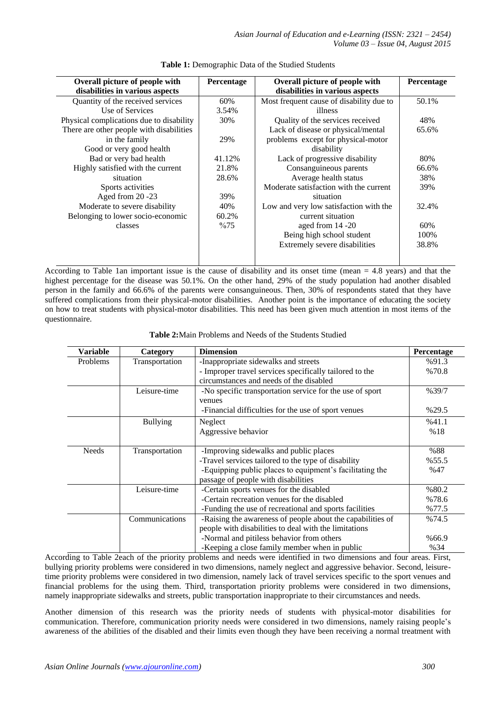*Asian Journal of Education and e-Learning (ISSN: 2321 – 2454) Volume 03 – Issue 04, August 2015*

| Overall picture of people with           | <b>Percentage</b> | Overall picture of people with           | Percentage |
|------------------------------------------|-------------------|------------------------------------------|------------|
| disabilities in various aspects          |                   | disabilities in various aspects          |            |
| Quantity of the received services        | 60%               | Most frequent cause of disability due to | 50.1%      |
| Use of Services                          | 3.54%             | illness                                  |            |
| Physical complications due to disability | 30%               | Quality of the services received         | 48%        |
| There are other people with disabilities |                   | Lack of disease or physical/mental       | 65.6%      |
| in the family                            | 29%               | problems except for physical-motor       |            |
| Good or very good health                 |                   | disability                               |            |
| Bad or very bad health                   | 41.12%            | Lack of progressive disability           | 80%        |
| Highly satisfied with the current        | 21.8%             | Consanguineous parents                   | 66.6%      |
| situation                                | 28.6%             | Average health status                    | 38%        |
| Sports activities                        |                   | Moderate satisfaction with the current   | 39%        |
| Aged from 20 -23                         | 39%               | situation                                |            |
| Moderate to severe disability            | 40%               | Low and very low satisfaction with the   | 32.4%      |
| Belonging to lower socio-economic        | 60.2%             | current situation                        |            |
| classes                                  | $\%75$            | aged from 14 -20                         | 60%        |
|                                          |                   | Being high school student                | 100%       |
|                                          |                   | Extremely severe disabilities            | 38.8%      |
|                                          |                   |                                          |            |

**Table 1:** Demographic Data of the Studied Students

According to Table 1an important issue is the cause of disability and its onset time (mean  $= 4.8$  years) and that the highest percentage for the disease was 50.1%. On the other hand, 29% of the study population had another disabled person in the family and 66.6% of the parents were consanguineous. Then, 30% of respondents stated that they have suffered complications from their physical-motor disabilities. Another point is the importance of educating the society on how to treat students with physical-motor disabilities. This need has been given much attention in most items of the questionnaire.

| <b>Table 2:</b> Main Problems and Needs of the Students Studied |  |  |
|-----------------------------------------------------------------|--|--|
|-----------------------------------------------------------------|--|--|

| Variable                   | Category        | <b>Dimension</b>                                           | <b>Percentage</b> |
|----------------------------|-----------------|------------------------------------------------------------|-------------------|
| Transportation<br>Problems |                 | -Inappropriate sidewalks and streets                       | %91.3             |
|                            |                 | - Improper travel services specifically tailored to the    | %70.8             |
|                            |                 | circumstances and needs of the disabled                    |                   |
|                            | Leisure-time    | -No specific transportation service for the use of sport   | %39/7             |
|                            |                 | venues                                                     |                   |
|                            |                 | -Financial difficulties for the use of sport venues        | %29.5             |
|                            | <b>Bullying</b> | Neglect                                                    | %41.1             |
|                            |                 | Aggressive behavior                                        | %18               |
|                            |                 |                                                            |                   |
| <b>Needs</b>               | Transportation  | -Improving sidewalks and public places                     | %88               |
|                            |                 | -Travel services tailored to the type of disability        | %55.5             |
|                            |                 | -Equipping public places to equipment's facilitating the   | %47               |
|                            |                 | passage of people with disabilities                        |                   |
|                            | Leisure-time    | -Certain sports venues for the disabled                    | %80.2             |
|                            |                 | -Certain recreation venues for the disabled                | %78.6             |
|                            |                 | -Funding the use of recreational and sports facilities     | %77.5             |
|                            | Communications  | -Raising the awareness of people about the capabilities of | %74.5             |
|                            |                 | people with disabilities to deal with the limitations      |                   |
|                            |                 | -Normal and pitiless behavior from others                  | %66.9             |
|                            |                 | -Keeping a close family member when in public              | %34               |

According to Table 2each of the priority problems and needs were identified in two dimensions and four areas. First, bullying priority problems were considered in two dimensions, namely neglect and aggressive behavior. Second, leisuretime priority problems were considered in two dimension, namely lack of travel services specific to the sport venues and financial problems for the using them. Third, transportation priority problems were considered in two dimensions, namely inappropriate sidewalks and streets, public transportation inappropriate to their circumstances and needs.

Another dimension of this research was the priority needs of students with physical-motor disabilities for communication. Therefore, communication priority needs were considered in two dimensions, namely raising people's awareness of the abilities of the disabled and their limits even though they have been receiving a normal treatment with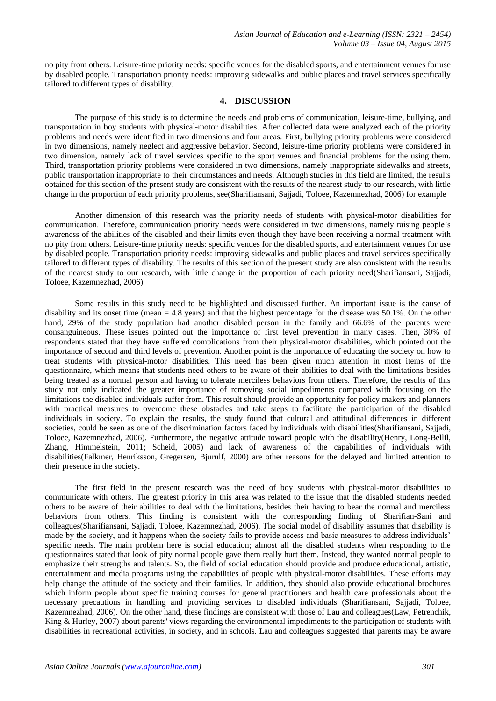no pity from others. Leisure-time priority needs: specific venues for the disabled sports, and entertainment venues for use by disabled people. Transportation priority needs: improving sidewalks and public places and travel services specifically tailored to different types of disability.

#### **4. DISCUSSION**

The purpose of this study is to determine the needs and problems of communication, leisure-time, bullying, and transportation in boy students with physical-motor disabilities. After collected data were analyzed each of the priority problems and needs were identified in two dimensions and four areas. First, bullying priority problems were considered in two dimensions, namely neglect and aggressive behavior. Second, leisure-time priority problems were considered in two dimension, namely lack of travel services specific to the sport venues and financial problems for the using them. Third, transportation priority problems were considered in two dimensions, namely inappropriate sidewalks and streets, public transportation inappropriate to their circumstances and needs. Although studies in this field are limited, the results obtained for this section of the present study are consistent with the results of the nearest study to our research, with little change in the proportion of each priority problems, see(Sharifiansani, Sajjadi, Toloee, Kazemnezhad, 2006) for example

Another dimension of this research was the priority needs of students with physical-motor disabilities for communication. Therefore, communication priority needs were considered in two dimensions, namely raising people's awareness of the abilities of the disabled and their limits even though they have been receiving a normal treatment with no pity from others. Leisure-time priority needs: specific venues for the disabled sports, and entertainment venues for use by disabled people. Transportation priority needs: improving sidewalks and public places and travel services specifically tailored to different types of disability. The results of this section of the present study are also consistent with the results of the nearest study to our research, with little change in the proportion of each priority need(Sharifiansani, Sajjadi, Toloee, Kazemnezhad, 2006)

Some results in this study need to be highlighted and discussed further. An important issue is the cause of disability and its onset time (mean = 4.8 years) and that the highest percentage for the disease was 50.1%. On the other hand, 29% of the study population had another disabled person in the family and 66.6% of the parents were consanguineous. These issues pointed out the importance of first level prevention in many cases. Then, 30% of respondents stated that they have suffered complications from their physical-motor disabilities, which pointed out the importance of second and third levels of prevention. Another point is the importance of educating the society on how to treat students with physical-motor disabilities. This need has been given much attention in most items of the questionnaire, which means that students need others to be aware of their abilities to deal with the limitations besides being treated as a normal person and having to tolerate merciless behaviors from others. Therefore, the results of this study not only indicated the greater importance of removing social impediments compared with focusing on the limitations the disabled individuals suffer from. This result should provide an opportunity for policy makers and planners with practical measures to overcome these obstacles and take steps to facilitate the participation of the disabled individuals in society. To explain the results, the study found that cultural and attitudinal differences in different societies, could be seen as one of the discrimination factors faced by individuals with disabilities(Sharifiansani, Sajjadi, Toloee, Kazemnezhad, 2006). Furthermore, the negative attitude toward people with the disability(Henry, Long-Bellil, Zhang, Himmelstein, 2011; Scheid, 2005) and lack of awareness of the capabilities of individuals with disabilities(Falkmer, Henriksson, Gregersen, Bjurulf, 2000) are other reasons for the delayed and limited attention to their presence in the society.

The first field in the present research was the need of boy students with physical-motor disabilities to communicate with others. The greatest priority in this area was related to the issue that the disabled students needed others to be aware of their abilities to deal with the limitations, besides their having to bear the normal and merciless behaviors from others. This finding is consistent with the corresponding finding of Sharifian-Sani and colleagues(Sharifiansani, Sajjadi, Toloee, Kazemnezhad, 2006). The social model of disability assumes that disability is made by the society, and it happens when the society fails to provide access and basic measures to address individuals' specific needs. The main problem here is social education; almost all the disabled students when responding to the questionnaires stated that look of pity normal people gave them really hurt them. Instead, they wanted normal people to emphasize their strengths and talents. So, the field of social education should provide and produce educational, artistic, entertainment and media programs using the capabilities of people with physical-motor disabilities. These efforts may help change the attitude of the society and their families. In addition, they should also provide educational brochures which inform people about specific training courses for general practitioners and health care professionals about the necessary precautions in handling and providing services to disabled individuals (Sharifiansani, Sajjadi, Toloee, Kazemnezhad, 2006). On the other hand, these findings are consistent with those of Lau and colleagues(Law, Petrenchik, King & Hurley, 2007) about parents' views regarding the environmental impediments to the participation of students with disabilities in recreational activities, in society, and in schools. Lau and colleagues suggested that parents may be aware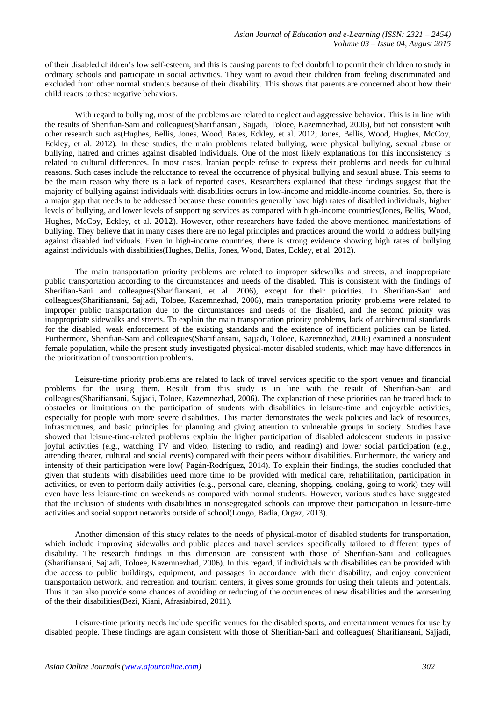of their disabled children's low self-esteem, and this is causing parents to feel doubtful to permit their children to study in ordinary schools and participate in social activities. They want to avoid their children from feeling discriminated and excluded from other normal students because of their disability. This shows that parents are concerned about how their child reacts to these negative behaviors.

With regard to bullying, most of the problems are related to neglect and aggressive behavior. This is in line with the results of Sherifian-Sani and colleagues(Sharifiansani, Sajjadi, Toloee, Kazemnezhad, 2006), but not consistent with other research such as(Hughes, Bellis, Jones, Wood, Bates, Eckley, et al. 2012; Jones, Bellis, Wood, Hughes, McCoy, Eckley, et al. 2012). In these studies, the main problems related bullying, were physical bullying, sexual abuse or bullying, hatred and crimes against disabled individuals. One of the most likely explanations for this inconsistency is related to cultural differences. In most cases, Iranian people refuse to express their problems and needs for cultural reasons. Such cases include the reluctance to reveal the occurrence of physical bullying and sexual abuse. This seems to be the main reason why there is a lack of reported cases. Researchers explained that these findings suggest that the majority of bullying against individuals with disabilities occurs in low-income and middle-income countries. So, there is a major gap that needs to be addressed because these countries generally have high rates of disabled individuals, higher levels of bullying, and lower levels of supporting services as compared with high-income countries(Jones, Bellis, Wood, Hughes, McCoy, Eckley, et al. 2012). However, other researchers have faded the above-mentioned manifestations of bullying. They believe that in many cases there are no legal principles and practices around the world to address bullying against disabled individuals. Even in high-income countries, there is strong evidence showing high rates of bullying against individuals with disabilities(Hughes, Bellis, Jones, Wood, Bates, Eckley, et al. 2012).

The main transportation priority problems are related to improper sidewalks and streets, and inappropriate public transportation according to the circumstances and needs of the disabled. This is consistent with the findings of Sherifian-Sani and colleagues(Sharifiansani, et al. 2006), except for their priorities. In Sherifian-Sani and colleagues(Sharifiansani, Sajjadi, Toloee, Kazemnezhad, 2006), main transportation priority problems were related to improper public transportation due to the circumstances and needs of the disabled, and the second priority was inappropriate sidewalks and streets. To explain the main transportation priority problems, lack of architectural standards for the disabled, weak enforcement of the existing standards and the existence of inefficient policies can be listed. Furthermore, Sherifian-Sani and colleagues(Sharifiansani, Sajjadi, Toloee, Kazemnezhad, 2006) examined a nonstudent female population, while the present study investigated physical-motor disabled students, which may have differences in the prioritization of transportation problems.

Leisure-time priority problems are related to lack of travel services specific to the sport venues and financial problems for the using them. Result from this study is in line with the result of Sherifian-Sani and colleagues(Sharifiansani, Sajjadi, Toloee, Kazemnezhad, 2006). The explanation of these priorities can be traced back to obstacles or limitations on the participation of students with disabilities in leisure-time and enjoyable activities, especially for people with more severe disabilities. This matter demonstrates the weak policies and lack of resources, infrastructures, and basic principles for planning and giving attention to vulnerable groups in society. Studies have showed that leisure-time-related problems explain the higher participation of disabled adolescent students in passive joyful activities (e.g., watching TV and video, listening to radio, and reading) and lower social participation (e.g., attending theater, cultural and social events) compared with their peers without disabilities. Furthermore, the variety and intensity of their participation were low( Pagán-Rodríguez, 2014). To explain their findings, the studies concluded that given that students with disabilities need more time to be provided with medical care, rehabilitation, participation in activities, or even to perform daily activities (e.g., personal care, cleaning, shopping, cooking, going to work) they will even have less leisure-time on weekends as compared with normal students. However, various studies have suggested that the inclusion of students with disabilities in nonsegregated schools can improve their participation in leisure-time activities and social support networks outside of school(Longo, Badia, Orgaz, 2013).

Another dimension of this study relates to the needs of physical-motor of disabled students for transportation, which include improving sidewalks and public places and travel services specifically tailored to different types of disability. The research findings in this dimension are consistent with those of Sherifian-Sani and colleagues (Sharifiansani, Sajjadi, Toloee, Kazemnezhad, 2006). In this regard, if individuals with disabilities can be provided with due access to public buildings, equipment, and passages in accordance with their disability, and enjoy convenient transportation network, and recreation and tourism centers, it gives some grounds for using their talents and potentials. Thus it can also provide some chances of avoiding or reducing of the occurrences of new disabilities and the worsening of the their disabilities(Bezi, Kiani, Afrasiabirad, 2011).

Leisure-time priority needs include specific venues for the disabled sports, and entertainment venues for use by disabled people. These findings are again consistent with those of Sherifian-Sani and colleagues( Sharifiansani, Sajjadi,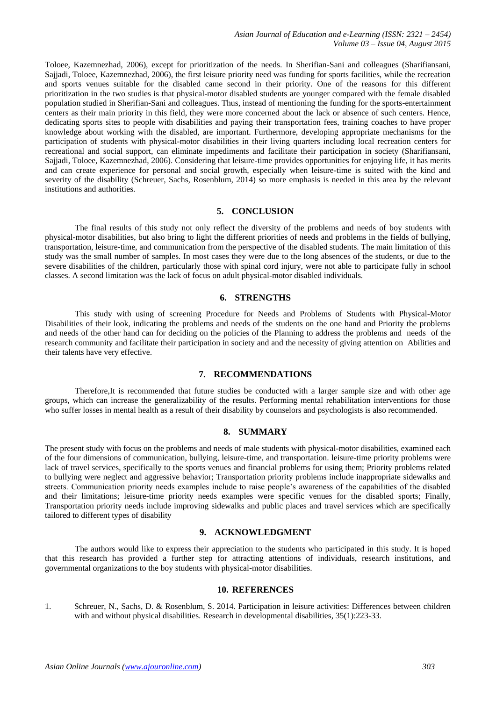Toloee, Kazemnezhad, 2006), except for prioritization of the needs. In Sherifian-Sani and colleagues (Sharifiansani, Sajjadi, Toloee, Kazemnezhad, 2006), the first leisure priority need was funding for sports facilities, while the recreation and sports venues suitable for the disabled came second in their priority. One of the reasons for this different prioritization in the two studies is that physical-motor disabled students are younger compared with the female disabled population studied in Sherifian-Sani and colleagues. Thus, instead of mentioning the funding for the sports-entertainment centers as their main priority in this field, they were more concerned about the lack or absence of such centers. Hence, dedicating sports sites to people with disabilities and paying their transportation fees, training coaches to have proper knowledge about working with the disabled, are important. Furthermore, developing appropriate mechanisms for the participation of students with physical-motor disabilities in their living quarters including local recreation centers for recreational and social support, can eliminate impediments and facilitate their participation in society (Sharifiansani, Sajjadi, Toloee, Kazemnezhad, 2006). Considering that leisure-time provides opportunities for enjoying life, it has merits and can create experience for personal and social growth, especially when leisure-time is suited with the kind and severity of the disability (Schreuer, Sachs, Rosenblum, 2014) so more emphasis is needed in this area by the relevant institutions and authorities.

#### **5. CONCLUSION**

The final results of this study not only reflect the diversity of the problems and needs of boy students with physical-motor disabilities, but also bring to light the different priorities of needs and problems in the fields of bullying, transportation, leisure-time, and communication from the perspective of the disabled students. The main limitation of this study was the small number of samples. In most cases they were due to the long absences of the students, or due to the severe disabilities of the children, particularly those with spinal cord injury, were not able to participate fully in school classes. A second limitation was the lack of focus on adult physical-motor disabled individuals.

## **6. STRENGTHS**

This study with using of screening Procedure for Needs and Problems of Students with Physical-Motor Disabilities of their look, indicating the problems and needs of the students on the one hand and Priority the problems and needs of the other hand can for deciding on the policies of the Planning to address the problems and needs of the research community and facilitate their participation in society and and the necessity of giving attention on Abilities and their talents have very effective.

#### **7. RECOMMENDATIONS**

Therefore,It is recommended that future studies be conducted with a larger sample size and with other age groups, which can increase the generalizability of the results. Performing mental rehabilitation interventions for those who suffer losses in mental health as a result of their disability by counselors and psychologists is also recommended.

## **8. SUMMARY**

The present study with focus on the problems and needs of male students with physical-motor disabilities, examined each of the four dimensions of communication, bullying, leisure-time, and transportation. leisure-time priority problems were lack of travel services, specifically to the sports venues and financial problems for using them; Priority problems related to bullying were neglect and aggressive behavior; Transportation priority problems include inappropriate sidewalks and streets. Communication priority needs examples include to raise people's awareness of the capabilities of the disabled and their limitations; leisure-time priority needs examples were specific venues for the disabled sports; Finally, Transportation priority needs include improving sidewalks and public places and travel services which are specifically tailored to different types of disability

# **9. ACKNOWLEDGMENT**

The authors would like to express their appreciation to the students who participated in this study. It is hoped that this research has provided a further step for attracting attentions of individuals, research institutions, and governmental organizations to the boy students with physical-motor disabilities.

#### **10. REFERENCES**

1. Schreuer, N., Sachs, D. & Rosenblum, S. 2014. Participation in leisure activities: Differences between children with and without physical disabilities. Research in developmental disabilities, 35(1):223-33.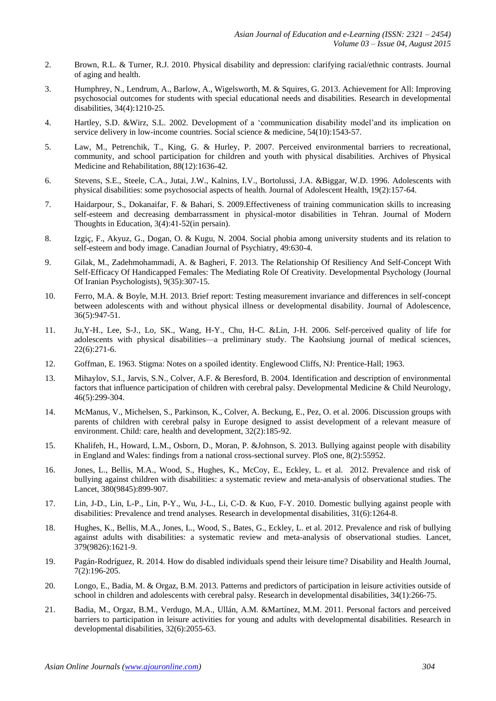- 2. Brown, R.L. & Turner, R.J. 2010. Physical disability and depression: clarifying racial/ethnic contrasts. Journal of aging and health.
- 3. Humphrey, N., Lendrum, A., Barlow, A., Wigelsworth, M. & Squires, G. 2013. Achievement for All: Improving psychosocial outcomes for students with special educational needs and disabilities. Research in developmental disabilities, 34(4):1210-25.
- 4. Hartley, S.D. &Wirz, S.L. 2002. Development of a 'communication disability model'and its implication on service delivery in low-income countries. Social science & medicine, 54(10):1543-57.
- 5. Law, M., Petrenchik, T., King, G. & Hurley, P. 2007. Perceived environmental barriers to recreational, community, and school participation for children and youth with physical disabilities. Archives of Physical Medicine and Rehabilitation, 88(12):1636-42.
- 6. Stevens, S.E., Steele, C.A., Jutai, J.W., Kalnins, I.V., Bortolussi, J.A. &Biggar, W.D. 1996. Adolescents with physical disabilities: some psychosocial aspects of health. Journal of Adolescent Health, 19(2):157-64.
- 7. Haidarpour, S., Dokanaifar, F. & Bahari, S. 2009.Effectiveness of training communication skills to increasing self-esteem and decreasing dembarrassment in physical-motor disabilities in Tehran. Journal of Modern Thoughts in Education, 3(4):41-52(in persain).
- 8. Izgiç, F., Akyuz, G., Dogan, O. & Kugu, N. 2004. Social phobia among university students and its relation to self-esteem and body image. Canadian Journal of Psychiatry, 49:630-4.
- 9. Gilak, M., Zadehmohammadi, A. & Bagheri, F. 2013. The Relationship Of Resiliency And Self-Concept With Self-Efficacy Of Handicapped Females: The Mediating Role Of Creativity. Developmental Psychology (Journal Of Iranian Psychologists), 9(35):307-15.
- 10. Ferro, M.A. & Boyle, M.H. 2013. Brief report: Testing measurement invariance and differences in self-concept between adolescents with and without physical illness or developmental disability. Journal of Adolescence, 36(5):947-51.
- 11. Ju,Y-H., Lee, S-J., Lo, SK., Wang, H-Y., Chu, H-C. &Lin, J-H. 2006. Self-perceived quality of life for adolescents with physical disabilities—a preliminary study. The Kaohsiung journal of medical sciences, 22(6):271-6.
- 12. Goffman, E. 1963. Stigma: Notes on a spoiled identity. Englewood Cliffs, NJ: Prentice-Hall; 1963.
- 13. Mihaylov, S.I., Jarvis, S.N., Colver, A.F. & Beresford, B. 2004. Identification and description of environmental factors that influence participation of children with cerebral palsy. Developmental Medicine & Child Neurology, 46(5):299-304.
- 14. McManus, V., Michelsen, S., Parkinson, K., Colver, A. Beckung, E., Pez, O. et al. 2006. Discussion groups with parents of children with cerebral palsy in Europe designed to assist development of a relevant measure of environment. Child: care, health and development, 32(2):185-92.
- 15. Khalifeh, H., Howard, L.M., Osborn, D., Moran, P. &Johnson, S. 2013. Bullying against people with disability in England and Wales: findings from a national cross-sectional survey. PloS one, 8(2):55952.
- 16. Jones, L., Bellis, M.A., Wood, S., Hughes, K., McCoy, E., Eckley, L. et al. 2012. Prevalence and risk of bullying against children with disabilities: a systematic review and meta-analysis of observational studies. The Lancet, 380(9845):899-907.
- 17. Lin, J-D., Lin, L-P., Lin, P-Y., Wu, J-L., Li, C-D. & Kuo, F-Y. 2010. Domestic bullying against people with disabilities: Prevalence and trend analyses. Research in developmental disabilities, 31(6):1264-8.
- 18. Hughes, K., Bellis, M.A., Jones, L., Wood, S., Bates, G., Eckley, L. et al. 2012. Prevalence and risk of bullying against adults with disabilities: a systematic review and meta-analysis of observational studies. Lancet, 379(9826):1621-9.
- 19. Pagán-Rodríguez, R. 2014. How do disabled individuals spend their leisure time? Disability and Health Journal, 7(2):196-205.
- 20. Longo, E., Badia, M. & Orgaz, B.M. 2013. Patterns and predictors of participation in leisure activities outside of school in children and adolescents with cerebral palsy. Research in developmental disabilities, 34(1):266-75.
- 21. Badia, M., Orgaz, B.M., Verdugo, M.A., Ullán, A.M. &Martínez, M.M. 2011. Personal factors and perceived barriers to participation in leisure activities for young and adults with developmental disabilities. Research in developmental disabilities, 32(6):2055-63.